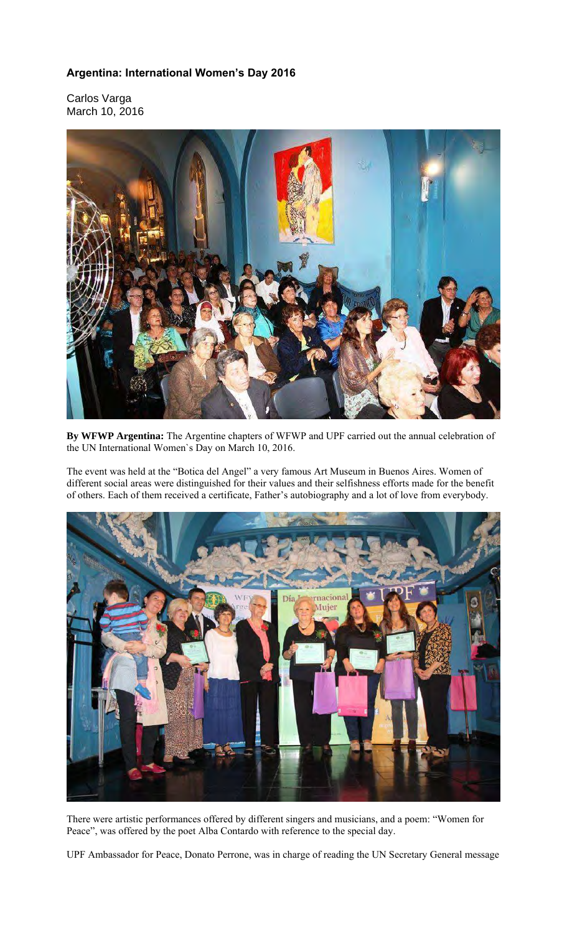## **Argentina: International Women's Day 2016**

Carlos Varga March 10, 2016



**By WFWP Argentina:** The Argentine chapters of WFWP and UPF carried out the annual celebration of the UN International Women`s Day on March 10, 2016.

The event was held at the "Botica del Angel" a very famous Art Museum in Buenos Aires. Women of different social areas were distinguished for their values and their selfishness efforts made for the benefit of others. Each of them received a certificate, Father's autobiography and a lot of love from everybody.



There were artistic performances offered by different singers and musicians, and a poem: "Women for Peace", was offered by the poet Alba Contardo with reference to the special day.

UPF Ambassador for Peace, Donato Perrone, was in charge of reading the UN Secretary General message